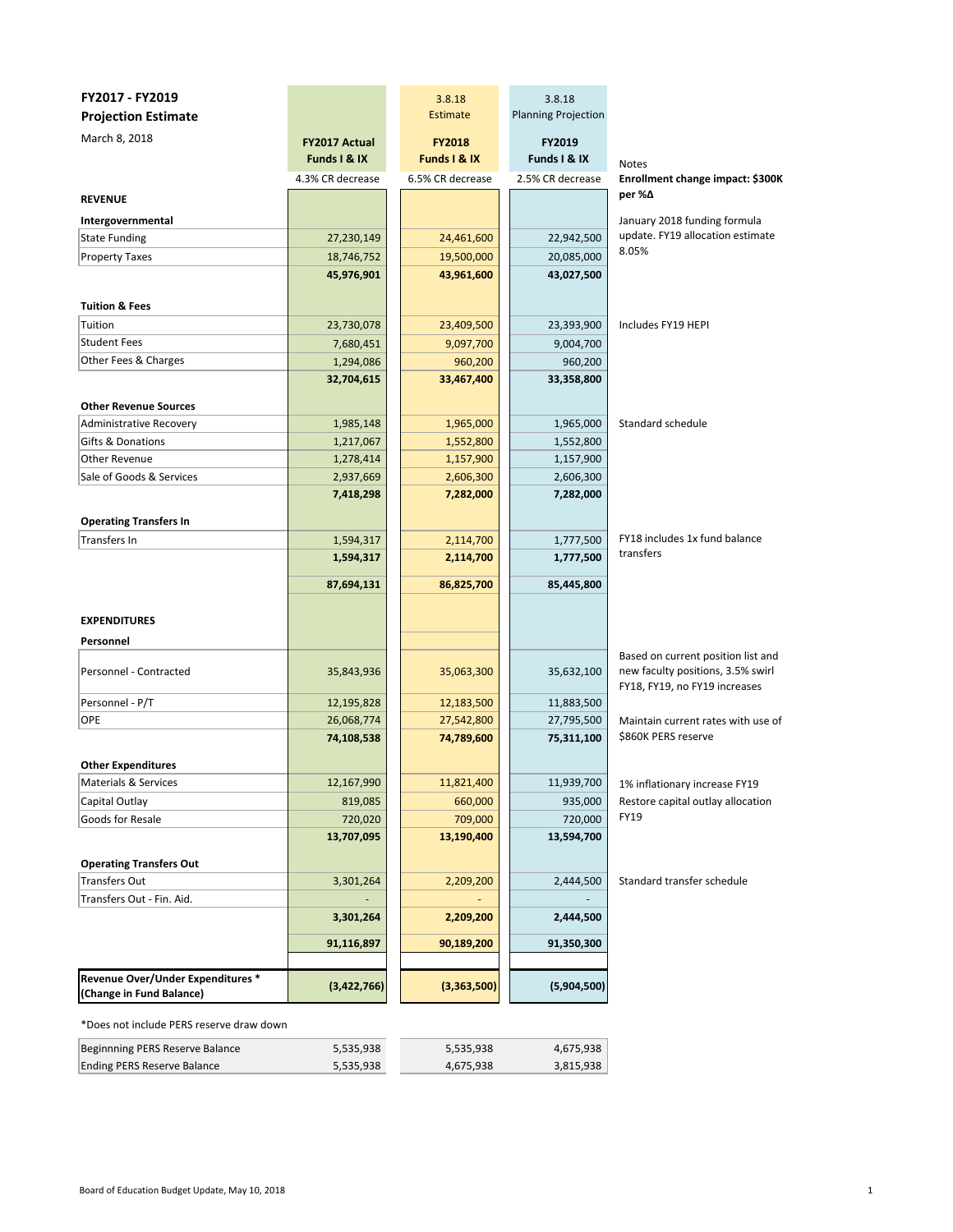| FY2017 - FY2019                                               |                                      | 3.8.18                        | 3.8.18                     |                                                                                                          |
|---------------------------------------------------------------|--------------------------------------|-------------------------------|----------------------------|----------------------------------------------------------------------------------------------------------|
| <b>Projection Estimate</b>                                    |                                      | Estimate                      | <b>Planning Projection</b> |                                                                                                          |
| March 8, 2018                                                 | <b>FY2017 Actual</b><br>Funds I & IX | <b>FY2018</b><br>Funds I & IX | FY2019<br>Funds I & IX     |                                                                                                          |
|                                                               | 4.3% CR decrease                     | 6.5% CR decrease              | 2.5% CR decrease           | <b>Notes</b><br>Enrollment change impact: \$300K                                                         |
| <b>REVENUE</b>                                                |                                      |                               |                            | per %∆                                                                                                   |
|                                                               |                                      |                               |                            |                                                                                                          |
| Intergovernmental                                             |                                      |                               |                            | January 2018 funding formula<br>update. FY19 allocation estimate                                         |
| <b>State Funding</b>                                          | 27,230,149                           | 24,461,600                    | 22,942,500                 | 8.05%                                                                                                    |
| <b>Property Taxes</b>                                         | 18,746,752                           | 19,500,000                    | 20,085,000                 |                                                                                                          |
|                                                               | 45,976,901                           | 43,961,600                    | 43,027,500                 |                                                                                                          |
| <b>Tuition &amp; Fees</b>                                     |                                      |                               |                            |                                                                                                          |
| Tuition                                                       | 23,730,078                           | 23,409,500                    | 23,393,900                 | Includes FY19 HEPI                                                                                       |
| <b>Student Fees</b>                                           | 7,680,451                            | 9,097,700                     | 9,004,700                  |                                                                                                          |
| Other Fees & Charges                                          | 1,294,086                            | 960,200                       | 960,200                    |                                                                                                          |
|                                                               | 32,704,615                           | 33,467,400                    | 33,358,800                 |                                                                                                          |
|                                                               |                                      |                               |                            |                                                                                                          |
| <b>Other Revenue Sources</b>                                  |                                      |                               |                            |                                                                                                          |
| Administrative Recovery                                       | 1,985,148                            | 1,965,000                     | 1,965,000                  | Standard schedule                                                                                        |
| Gifts & Donations                                             | 1,217,067                            | 1,552,800                     | 1,552,800                  |                                                                                                          |
| Other Revenue                                                 | 1,278,414                            | 1,157,900                     | 1,157,900                  |                                                                                                          |
| Sale of Goods & Services                                      | 2,937,669                            | 2,606,300                     | 2,606,300                  |                                                                                                          |
|                                                               | 7,418,298                            | 7,282,000                     | 7,282,000                  |                                                                                                          |
| <b>Operating Transfers In</b>                                 |                                      |                               |                            |                                                                                                          |
| <b>Transfers In</b>                                           | 1,594,317                            | 2,114,700                     | 1,777,500                  | FY18 includes 1x fund balance                                                                            |
|                                                               | 1,594,317                            | 2,114,700                     | 1,777,500                  | transfers                                                                                                |
|                                                               |                                      |                               |                            |                                                                                                          |
|                                                               | 87,694,131                           | 86,825,700                    | 85,445,800                 |                                                                                                          |
|                                                               |                                      |                               |                            |                                                                                                          |
| <b>EXPENDITURES</b>                                           |                                      |                               |                            |                                                                                                          |
| Personnel                                                     |                                      |                               |                            |                                                                                                          |
| Personnel - Contracted                                        | 35,843,936                           | 35,063,300                    | 35,632,100                 | Based on current position list and<br>new faculty positions, 3.5% swirl<br>FY18, FY19, no FY19 increases |
| Personnel - P/T                                               | 12,195,828                           | 12,183,500                    | 11,883,500                 |                                                                                                          |
| OPE                                                           | 26,068,774                           | 27,542,800                    | 27,795,500                 | Maintain current rates with use of                                                                       |
|                                                               | 74,108,538                           | 74,789,600                    | 75,311,100                 | \$860K PERS reserve                                                                                      |
|                                                               |                                      |                               |                            |                                                                                                          |
| <b>Other Expenditures</b>                                     | 12,167,990                           | 11,821,400                    | 11,939,700                 |                                                                                                          |
| Materials & Services<br>Capital Outlay                        | 819,085                              | 660,000                       | 935,000                    | 1% inflationary increase FY19<br>Restore capital outlay allocation                                       |
| Goods for Resale                                              | 720,020                              | 709,000                       | 720,000                    | <b>FY19</b>                                                                                              |
|                                                               | 13,707,095                           | 13,190,400                    | 13,594,700                 |                                                                                                          |
|                                                               |                                      |                               |                            |                                                                                                          |
| <b>Operating Transfers Out</b>                                |                                      |                               |                            |                                                                                                          |
| <b>Transfers Out</b>                                          | 3,301,264                            | 2,209,200                     | 2,444,500                  | Standard transfer schedule                                                                               |
| Transfers Out - Fin. Aid.                                     |                                      |                               |                            |                                                                                                          |
|                                                               | 3,301,264                            | 2,209,200                     | 2,444,500                  |                                                                                                          |
|                                                               | 91,116,897                           | 90,189,200                    | 91,350,300                 |                                                                                                          |
|                                                               |                                      |                               |                            |                                                                                                          |
| Revenue Over/Under Expenditures *<br>(Change in Fund Balance) | (3,422,766)                          | (3,363,500)                   | (5,904,500)                |                                                                                                          |
| *Does not include PERS reserve draw down                      |                                      |                               |                            |                                                                                                          |

| Beginnning PERS Reserve Balance | 5.535.938 | 5,535,938 | 4,675,938 |
|---------------------------------|-----------|-----------|-----------|
| Ending PERS Reserve Balance     | 5,535,938 | 4.675.938 | 3,815,938 |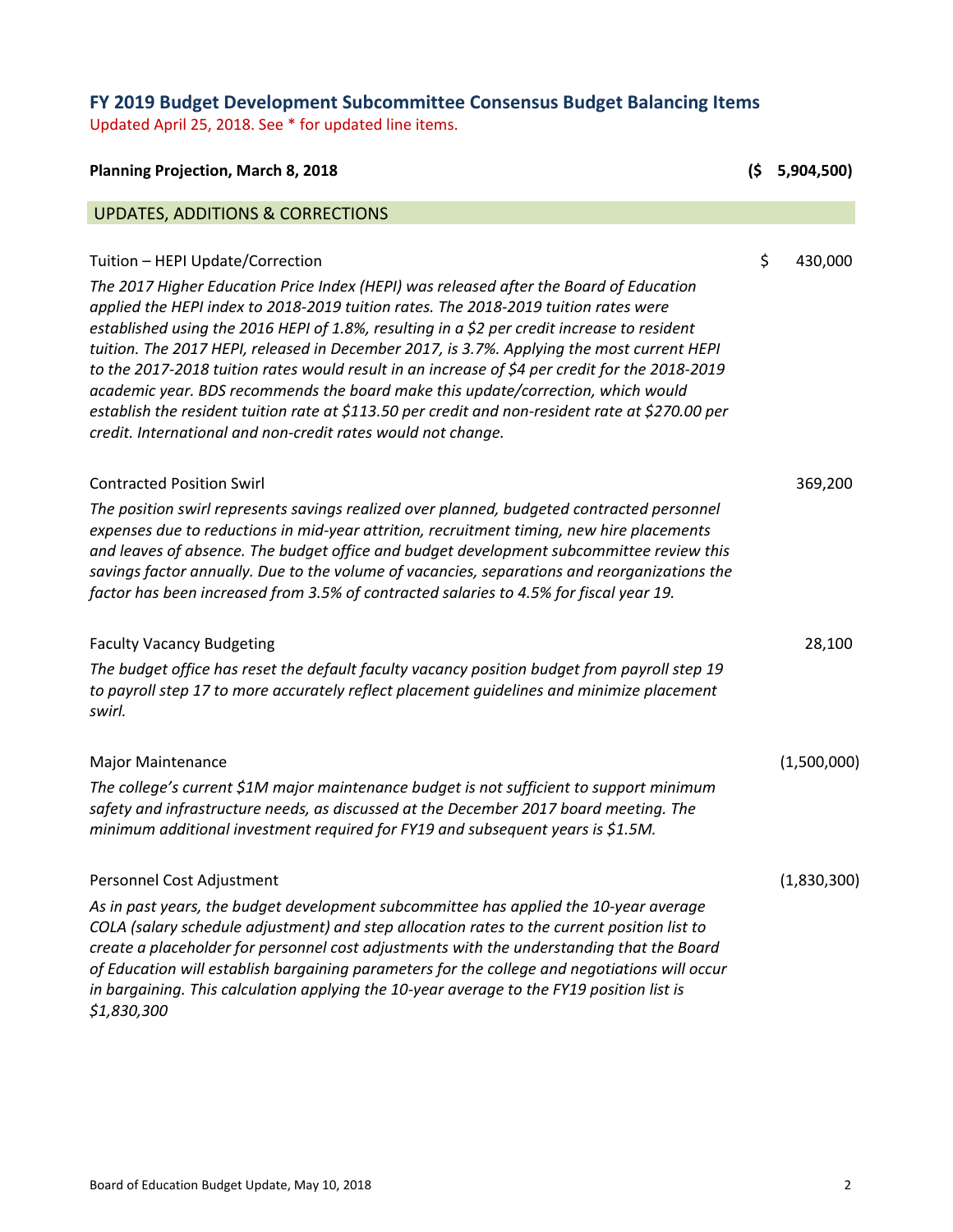## **FY 2019 Budget Development Subcommittee Consensus Budget Balancing Items**

Updated April 25, 2018. See \* for updated line items.

| <b>Planning Projection, March 8, 2018</b>                                                                                                                                                                                                                                                                                                                                                                                                                                                                                                                                                                                                                                                                                                                                | (\$ | 5,904,500)  |
|--------------------------------------------------------------------------------------------------------------------------------------------------------------------------------------------------------------------------------------------------------------------------------------------------------------------------------------------------------------------------------------------------------------------------------------------------------------------------------------------------------------------------------------------------------------------------------------------------------------------------------------------------------------------------------------------------------------------------------------------------------------------------|-----|-------------|
| <b>UPDATES, ADDITIONS &amp; CORRECTIONS</b>                                                                                                                                                                                                                                                                                                                                                                                                                                                                                                                                                                                                                                                                                                                              |     |             |
| Tuition - HEPI Update/Correction<br>The 2017 Higher Education Price Index (HEPI) was released after the Board of Education<br>applied the HEPI index to 2018-2019 tuition rates. The 2018-2019 tuition rates were<br>established using the 2016 HEPI of 1.8%, resulting in a \$2 per credit increase to resident<br>tuition. The 2017 HEPI, released in December 2017, is 3.7%. Applying the most current HEPI<br>to the 2017-2018 tuition rates would result in an increase of \$4 per credit for the 2018-2019<br>academic year. BDS recommends the board make this update/correction, which would<br>establish the resident tuition rate at \$113.50 per credit and non-resident rate at \$270.00 per<br>credit. International and non-credit rates would not change. | \$  | 430,000     |
| <b>Contracted Position Swirl</b><br>The position swirl represents savings realized over planned, budgeted contracted personnel<br>expenses due to reductions in mid-year attrition, recruitment timing, new hire placements<br>and leaves of absence. The budget office and budget development subcommittee review this<br>savings factor annually. Due to the volume of vacancies, separations and reorganizations the<br>factor has been increased from 3.5% of contracted salaries to 4.5% for fiscal year 19.                                                                                                                                                                                                                                                        |     | 369,200     |
| <b>Faculty Vacancy Budgeting</b><br>The budget office has reset the default faculty vacancy position budget from payroll step 19<br>to payroll step 17 to more accurately reflect placement guidelines and minimize placement<br>swirl.                                                                                                                                                                                                                                                                                                                                                                                                                                                                                                                                  |     | 28,100      |
| <b>Major Maintenance</b><br>The college's current \$1M major maintenance budget is not sufficient to support minimum<br>safety and infrastructure needs, as discussed at the December 2017 board meeting. The<br>minimum additional investment required for FY19 and subsequent years is \$1.5M.                                                                                                                                                                                                                                                                                                                                                                                                                                                                         |     | (1,500,000) |
| Personnel Cost Adjustment<br>As in past years, the budget development subcommittee has applied the 10-year average<br>COLA (salary schedule adjustment) and step allocation rates to the current position list to<br>create a placeholder for personnel cost adjustments with the understanding that the Board<br>of Education will establish bargaining parameters for the college and negotiations will occur<br>in bargaining. This calculation applying the 10-year average to the FY19 position list is<br>\$1,830,300                                                                                                                                                                                                                                              |     | (1,830,300) |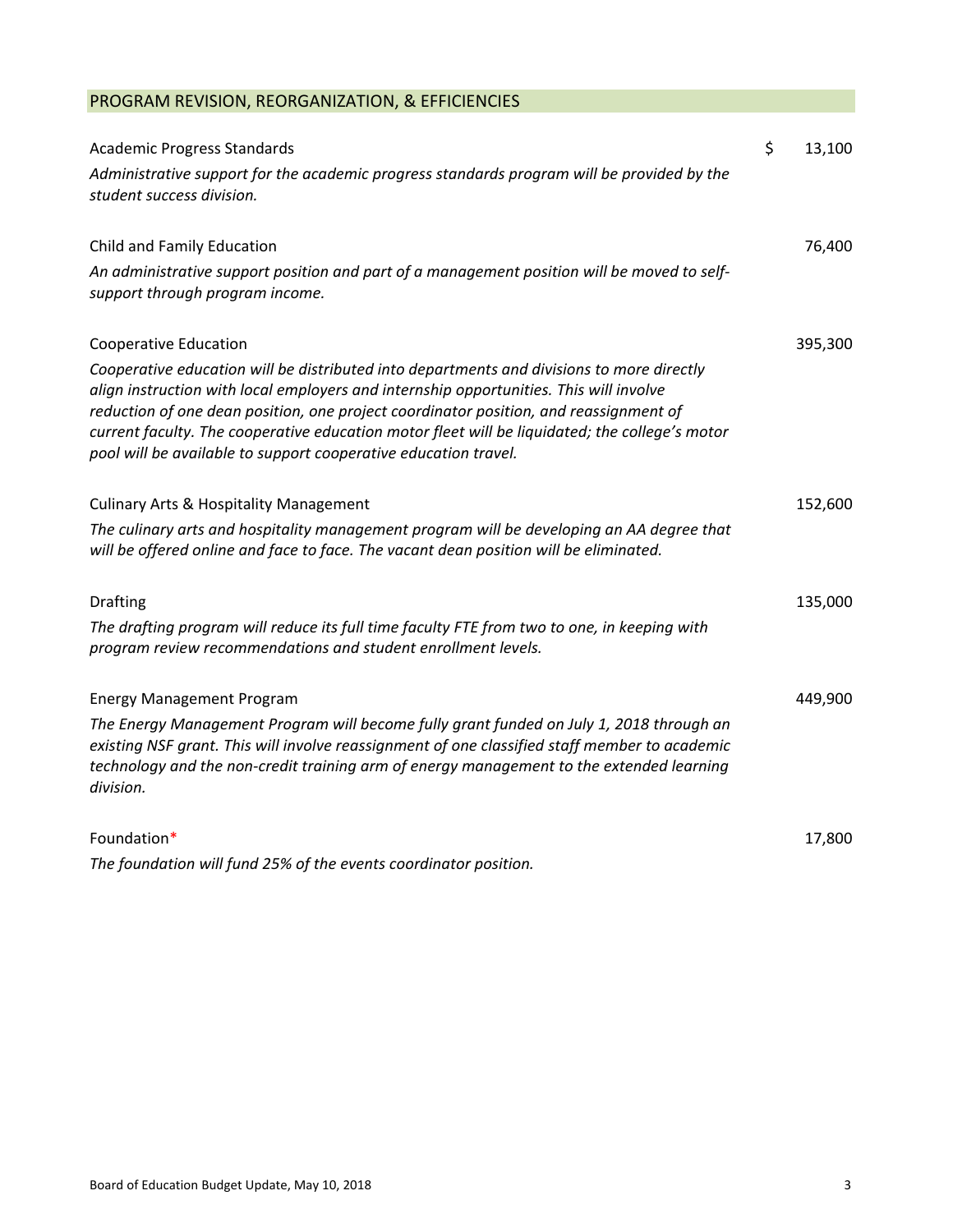## PROGRAM REVISION, REORGANIZATION, & EFFICIENCIES

| <b>Academic Progress Standards</b>                                                                                                                                                                                                                                                                                                                                                                                                                | \$<br>13,100 |
|---------------------------------------------------------------------------------------------------------------------------------------------------------------------------------------------------------------------------------------------------------------------------------------------------------------------------------------------------------------------------------------------------------------------------------------------------|--------------|
| Administrative support for the academic progress standards program will be provided by the<br>student success division.                                                                                                                                                                                                                                                                                                                           |              |
| Child and Family Education                                                                                                                                                                                                                                                                                                                                                                                                                        | 76,400       |
| An administrative support position and part of a management position will be moved to self-<br>support through program income.                                                                                                                                                                                                                                                                                                                    |              |
| <b>Cooperative Education</b>                                                                                                                                                                                                                                                                                                                                                                                                                      | 395,300      |
| Cooperative education will be distributed into departments and divisions to more directly<br>align instruction with local employers and internship opportunities. This will involve<br>reduction of one dean position, one project coordinator position, and reassignment of<br>current faculty. The cooperative education motor fleet will be liquidated; the college's motor<br>pool will be available to support cooperative education travel. |              |
| <b>Culinary Arts &amp; Hospitality Management</b>                                                                                                                                                                                                                                                                                                                                                                                                 | 152,600      |
| The culinary arts and hospitality management program will be developing an AA degree that<br>will be offered online and face to face. The vacant dean position will be eliminated.                                                                                                                                                                                                                                                                |              |
| <b>Drafting</b>                                                                                                                                                                                                                                                                                                                                                                                                                                   | 135,000      |
| The drafting program will reduce its full time faculty FTE from two to one, in keeping with<br>program review recommendations and student enrollment levels.                                                                                                                                                                                                                                                                                      |              |
| <b>Energy Management Program</b>                                                                                                                                                                                                                                                                                                                                                                                                                  | 449,900      |
| The Energy Management Program will become fully grant funded on July 1, 2018 through an<br>existing NSF grant. This will involve reassignment of one classified staff member to academic<br>technology and the non-credit training arm of energy management to the extended learning<br>division.                                                                                                                                                 |              |
| Foundation*                                                                                                                                                                                                                                                                                                                                                                                                                                       | 17,800       |
| The foundation will fund 25% of the events coordinator position.                                                                                                                                                                                                                                                                                                                                                                                  |              |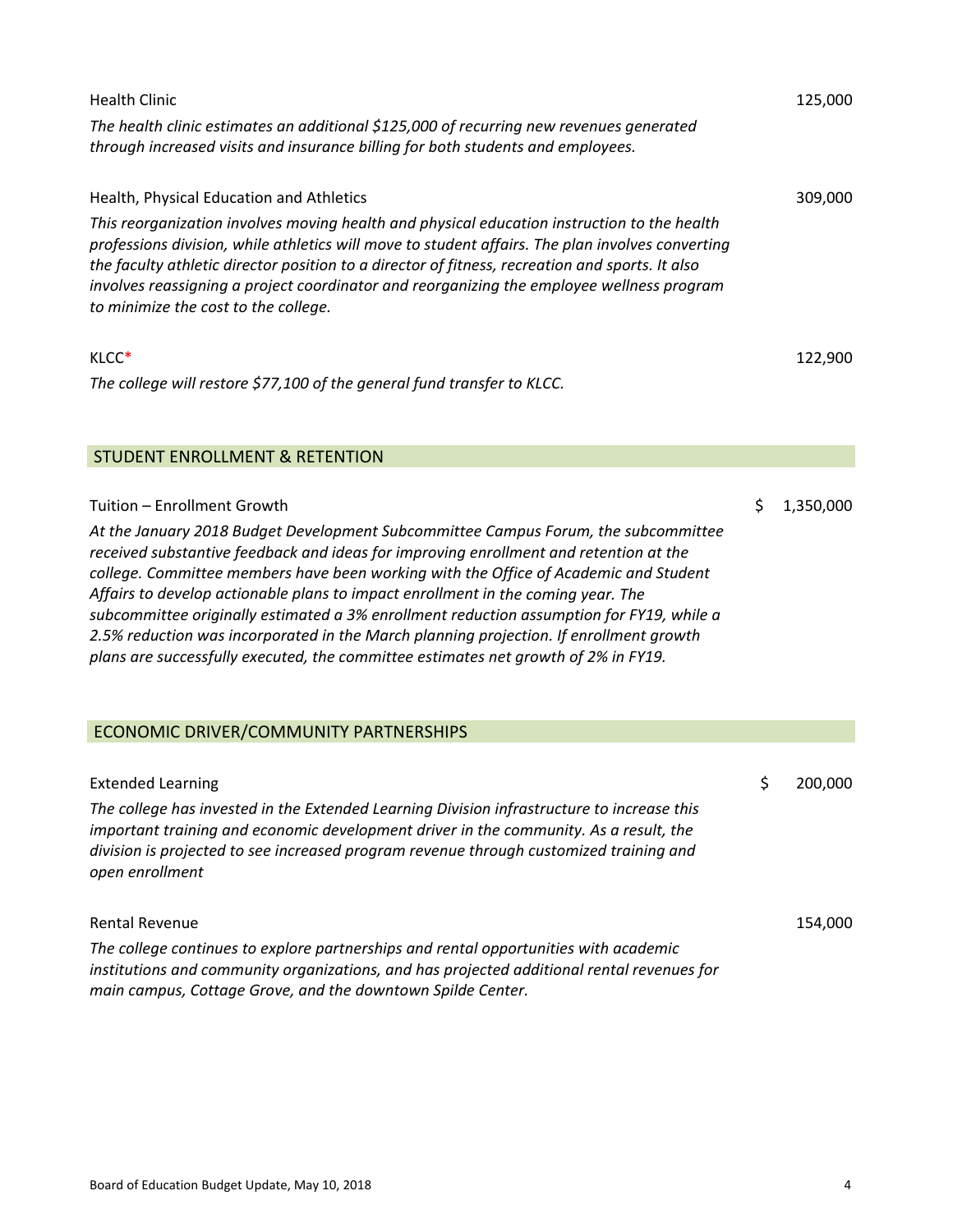| <b>Health Clinic</b><br>The health clinic estimates an additional \$125,000 of recurring new revenues generated                                                                                                                                                                                                                                                                                                                                                                                                                                                                                                                                                    |    | 125,000   |
|--------------------------------------------------------------------------------------------------------------------------------------------------------------------------------------------------------------------------------------------------------------------------------------------------------------------------------------------------------------------------------------------------------------------------------------------------------------------------------------------------------------------------------------------------------------------------------------------------------------------------------------------------------------------|----|-----------|
| through increased visits and insurance billing for both students and employees.                                                                                                                                                                                                                                                                                                                                                                                                                                                                                                                                                                                    |    |           |
| Health, Physical Education and Athletics                                                                                                                                                                                                                                                                                                                                                                                                                                                                                                                                                                                                                           |    | 309,000   |
| This reorganization involves moving health and physical education instruction to the health<br>professions division, while athletics will move to student affairs. The plan involves converting<br>the faculty athletic director position to a director of fitness, recreation and sports. It also<br>involves reassigning a project coordinator and reorganizing the employee wellness program<br>to minimize the cost to the college.                                                                                                                                                                                                                            |    |           |
| KLCC*                                                                                                                                                                                                                                                                                                                                                                                                                                                                                                                                                                                                                                                              |    | 122,900   |
| The college will restore \$77,100 of the general fund transfer to KLCC.                                                                                                                                                                                                                                                                                                                                                                                                                                                                                                                                                                                            |    |           |
| <b>STUDENT ENROLLMENT &amp; RETENTION</b>                                                                                                                                                                                                                                                                                                                                                                                                                                                                                                                                                                                                                          |    |           |
|                                                                                                                                                                                                                                                                                                                                                                                                                                                                                                                                                                                                                                                                    |    |           |
| Tuition - Enrollment Growth<br>At the January 2018 Budget Development Subcommittee Campus Forum, the subcommittee<br>received substantive feedback and ideas for improving enrollment and retention at the<br>college. Committee members have been working with the Office of Academic and Student<br>Affairs to develop actionable plans to impact enrollment in the coming year. The<br>subcommittee originally estimated a 3% enrollment reduction assumption for FY19, while a<br>2.5% reduction was incorporated in the March planning projection. If enrollment growth<br>plans are successfully executed, the committee estimates net growth of 2% in FY19. | \$ | 1,350,000 |
| ECONOMIC DRIVER/COMMUNITY PARTNERSHIPS                                                                                                                                                                                                                                                                                                                                                                                                                                                                                                                                                                                                                             |    |           |
| <b>Extended Learning</b>                                                                                                                                                                                                                                                                                                                                                                                                                                                                                                                                                                                                                                           | ১  | 200,000   |
| The college has invested in the Extended Learning Division infrastructure to increase this<br>important training and economic development driver in the community. As a result, the<br>division is projected to see increased program revenue through customized training and<br>open enrollment                                                                                                                                                                                                                                                                                                                                                                   |    |           |
| <b>Rental Revenue</b>                                                                                                                                                                                                                                                                                                                                                                                                                                                                                                                                                                                                                                              |    | 154,000   |
| The college continues to explore partnerships and rental opportunities with academic<br>institutions and community organizations, and has projected additional rental revenues for                                                                                                                                                                                                                                                                                                                                                                                                                                                                                 |    |           |

*main campus, Cottage Grove, and the downtown Spilde Center.*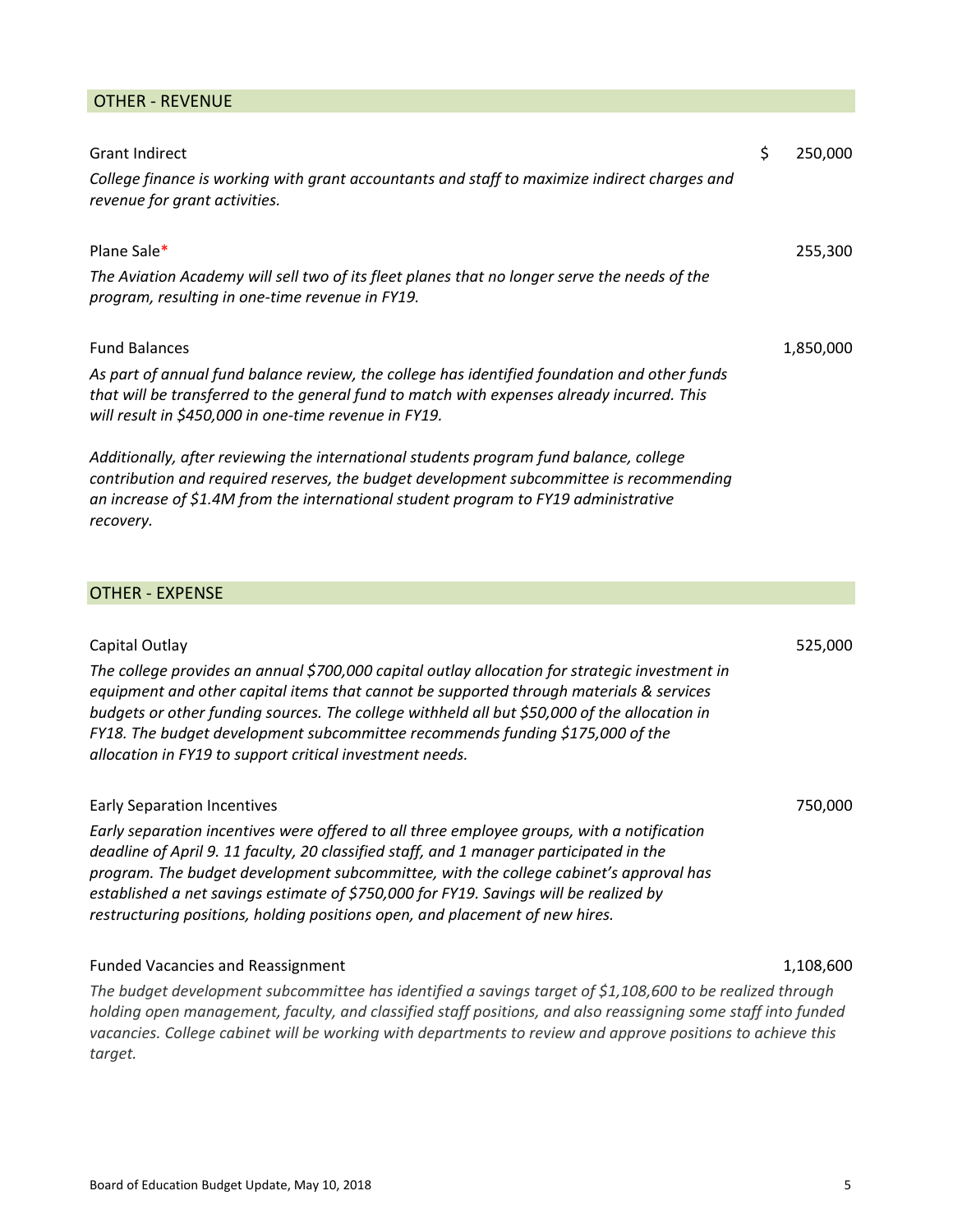## OTHER ‐ REVENUE

| <b>Grant Indirect</b>                                                                                                                                                                                                                                                                                                                                                                                                                                   | \$<br>250,000 |
|---------------------------------------------------------------------------------------------------------------------------------------------------------------------------------------------------------------------------------------------------------------------------------------------------------------------------------------------------------------------------------------------------------------------------------------------------------|---------------|
| College finance is working with grant accountants and staff to maximize indirect charges and<br>revenue for grant activities.                                                                                                                                                                                                                                                                                                                           |               |
| Plane Sale*                                                                                                                                                                                                                                                                                                                                                                                                                                             | 255,300       |
| The Aviation Academy will sell two of its fleet planes that no longer serve the needs of the<br>program, resulting in one-time revenue in FY19.                                                                                                                                                                                                                                                                                                         |               |
| <b>Fund Balances</b>                                                                                                                                                                                                                                                                                                                                                                                                                                    | 1,850,000     |
| As part of annual fund balance review, the college has identified foundation and other funds<br>that will be transferred to the general fund to match with expenses already incurred. This<br>will result in \$450,000 in one-time revenue in FY19.                                                                                                                                                                                                     |               |
| Additionally, after reviewing the international students program fund balance, college<br>contribution and required reserves, the budget development subcommittee is recommending<br>an increase of \$1.4M from the international student program to FY19 administrative<br>recovery.                                                                                                                                                                   |               |
| <b>OTHER - EXPENSE</b>                                                                                                                                                                                                                                                                                                                                                                                                                                  |               |
|                                                                                                                                                                                                                                                                                                                                                                                                                                                         |               |
| Capital Outlay                                                                                                                                                                                                                                                                                                                                                                                                                                          | 525,000       |
| The college provides an annual \$700,000 capital outlay allocation for strategic investment in<br>equipment and other capital items that cannot be supported through materials & services<br>budgets or other funding sources. The college withheld all but \$50,000 of the allocation in<br>FY18. The budget development subcommittee recommends funding \$175,000 of the<br>allocation in FY19 to support critical investment needs.                  |               |
| <b>Early Separation Incentives</b>                                                                                                                                                                                                                                                                                                                                                                                                                      | 750,000       |
| Early separation incentives were offered to all three employee groups, with a notification<br>deadline of April 9. 11 faculty, 20 classified staff, and 1 manager participated in the<br>program. The budget development subcommittee, with the college cabinet's approval has<br>established a net savings estimate of \$750,000 for FY19. Savings will be realized by<br>restructuring positions, holding positions open, and placement of new hires. |               |

## Funded Vacancies and Reassignment 1,108,600

*The budget development subcommittee has identified a savings target of \$1,108,600 to be realized through holding open management, faculty, and classified staff positions, and also reassigning some staff into funded vacancies. College cabinet will be working with departments to review and approve positions to achieve this target.*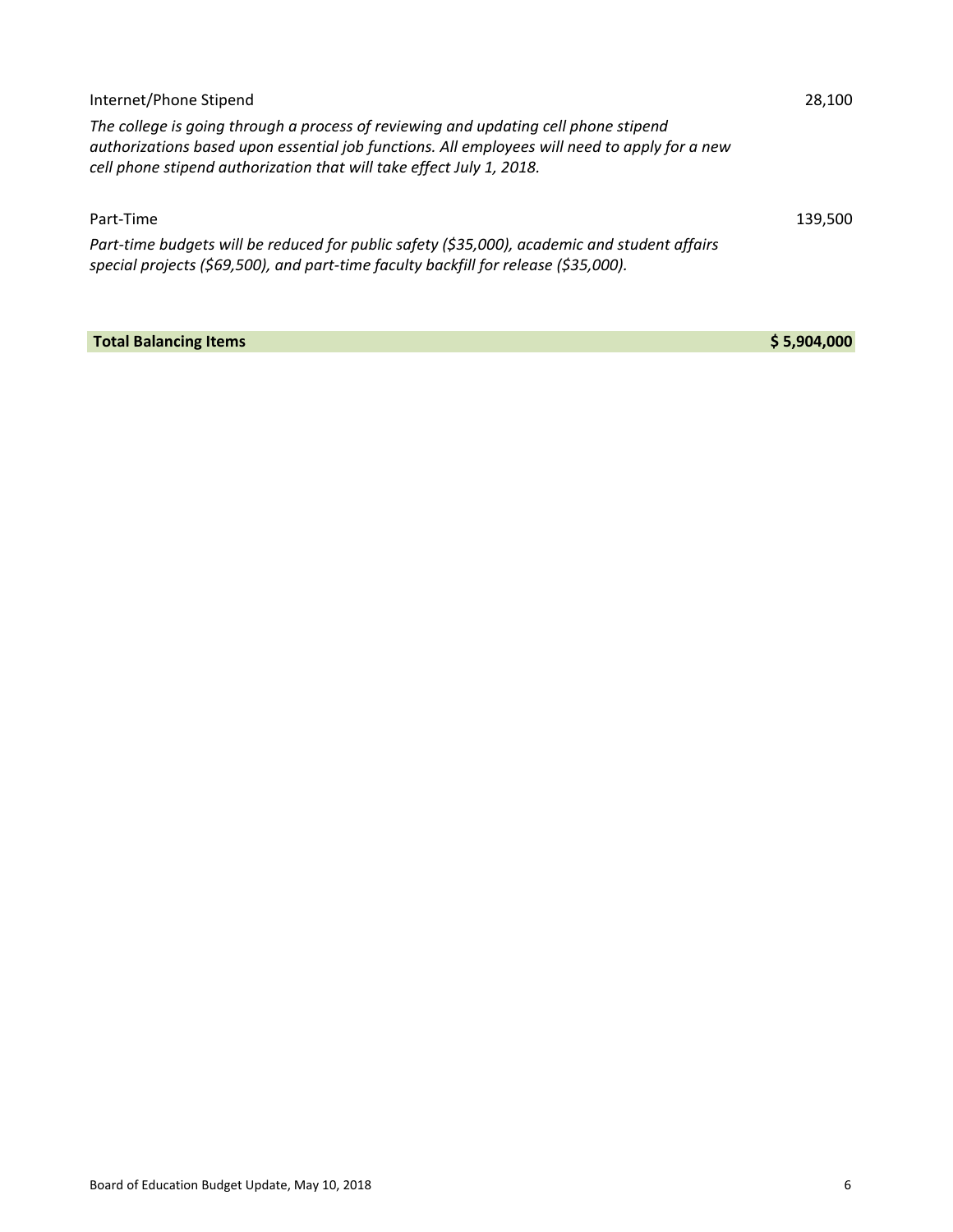| Internet/Phone Stipend                                                                                                                                                                                                                                       | 28.100  |
|--------------------------------------------------------------------------------------------------------------------------------------------------------------------------------------------------------------------------------------------------------------|---------|
| The college is going through a process of reviewing and updating cell phone stipend<br>authorizations based upon essential job functions. All employees will need to apply for a new<br>cell phone stipend authorization that will take effect July 1, 2018. |         |
| Part-Time                                                                                                                                                                                                                                                    | 139.500 |
| Part-time budgets will be reduced for public safety (\$35,000), academic and student affairs<br>special projects (\$69,500), and part-time faculty backfill for release (\$35,000).                                                                          |         |

**Total Balancing Items \$ 5,904,000**